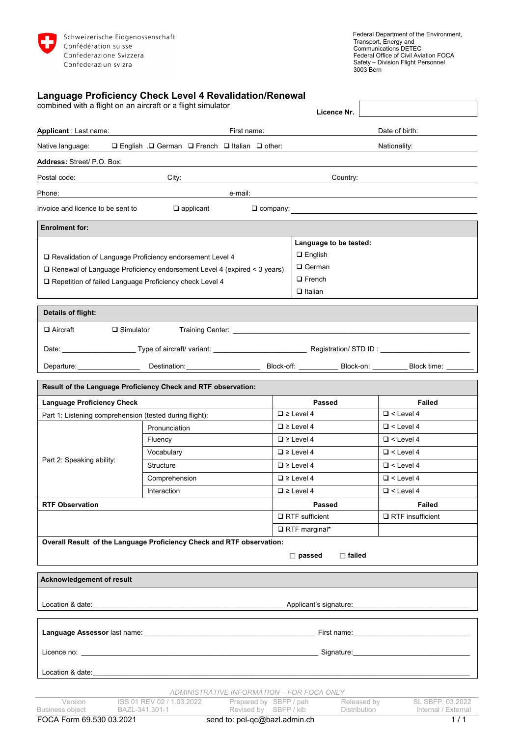

| 3003 Bern                                                                                                                                                                                                                      |                                                                                                            |  |                                                                                                    |                |                                                                                                                                                                                                                                |  |
|--------------------------------------------------------------------------------------------------------------------------------------------------------------------------------------------------------------------------------|------------------------------------------------------------------------------------------------------------|--|----------------------------------------------------------------------------------------------------|----------------|--------------------------------------------------------------------------------------------------------------------------------------------------------------------------------------------------------------------------------|--|
| combined with a flight on an aircraft or a flight simulator                                                                                                                                                                    | Language Proficiency Check Level 4 Revalidation/Renewal                                                    |  | Licence Nr.                                                                                        |                |                                                                                                                                                                                                                                |  |
| <b>Applicant</b> : Last name:                                                                                                                                                                                                  | First name:                                                                                                |  |                                                                                                    | Date of birth: |                                                                                                                                                                                                                                |  |
|                                                                                                                                                                                                                                |                                                                                                            |  |                                                                                                    |                | Nationality:                                                                                                                                                                                                                   |  |
| Address: Street/ P.O. Box:                                                                                                                                                                                                     |                                                                                                            |  |                                                                                                    |                |                                                                                                                                                                                                                                |  |
| Postal code: l                                                                                                                                                                                                                 | City:                                                                                                      |  | Country:                                                                                           |                |                                                                                                                                                                                                                                |  |
| Phone:                                                                                                                                                                                                                         | e-mail:<br><u> 1980 - Johann Barnett, fransk politik (</u>                                                 |  |                                                                                                    |                |                                                                                                                                                                                                                                |  |
| Invoice and licence to be sent to                                                                                                                                                                                              | $\Box$ applicant                                                                                           |  |                                                                                                    |                |                                                                                                                                                                                                                                |  |
|                                                                                                                                                                                                                                |                                                                                                            |  |                                                                                                    |                |                                                                                                                                                                                                                                |  |
| <b>Enrolment for:</b>                                                                                                                                                                                                          |                                                                                                            |  |                                                                                                    |                |                                                                                                                                                                                                                                |  |
| □ Revalidation of Language Proficiency endorsement Level 4<br>□ Renewal of Language Proficiency endorsement Level 4 (expired < 3 years)<br>□ Repetition of failed Language Proficiency check Level 4                           |                                                                                                            |  | Language to be tested:<br>$\square$ English<br>$\square$ German<br>$\Box$ French<br>$\Box$ Italian |                |                                                                                                                                                                                                                                |  |
| Details of flight:                                                                                                                                                                                                             |                                                                                                            |  |                                                                                                    |                |                                                                                                                                                                                                                                |  |
| <b>□</b> Aircraft<br>$\square$ Simulator                                                                                                                                                                                       |                                                                                                            |  |                                                                                                    |                |                                                                                                                                                                                                                                |  |
|                                                                                                                                                                                                                                |                                                                                                            |  |                                                                                                    |                |                                                                                                                                                                                                                                |  |
|                                                                                                                                                                                                                                |                                                                                                            |  |                                                                                                    |                |                                                                                                                                                                                                                                |  |
|                                                                                                                                                                                                                                | Departure: Block time: Destination: Destination: Block-off: Block-off: Block-on: Block-on: Block time: ___ |  |                                                                                                    |                |                                                                                                                                                                                                                                |  |
|                                                                                                                                                                                                                                | Result of the Language Proficiency Check and RTF observation:                                              |  |                                                                                                    |                |                                                                                                                                                                                                                                |  |
| <b>Language Proficiency Check</b>                                                                                                                                                                                              |                                                                                                            |  | Passed                                                                                             |                | <b>Failed</b>                                                                                                                                                                                                                  |  |
| Part 1: Listening comprehension (tested during flight):                                                                                                                                                                        |                                                                                                            |  | $\Box \ge$ Level 4                                                                                 |                | $\Box$ < Level 4                                                                                                                                                                                                               |  |
| Part 2: Speaking ability:                                                                                                                                                                                                      | Pronunciation                                                                                              |  | $\Box \ge$ Level 4                                                                                 |                | $\Box$ < Level 4                                                                                                                                                                                                               |  |
|                                                                                                                                                                                                                                | Fluency                                                                                                    |  | $\Box \ge$ Level 4                                                                                 |                | $\Box$ < Level 4                                                                                                                                                                                                               |  |
|                                                                                                                                                                                                                                | Vocabulary                                                                                                 |  | $\Box \ge$ Level 4                                                                                 |                | $\Box$ < Level 4                                                                                                                                                                                                               |  |
|                                                                                                                                                                                                                                | Structure                                                                                                  |  | $\Box \ge$ Level 4                                                                                 |                | $\Box$ < Level 4                                                                                                                                                                                                               |  |
|                                                                                                                                                                                                                                | Comprehension                                                                                              |  | $\Box$ $\ge$ Level 4                                                                               |                | $\Box$ < Level 4                                                                                                                                                                                                               |  |
|                                                                                                                                                                                                                                | Interaction                                                                                                |  | $\Box \ge$ Level 4                                                                                 |                | $\Box$ < Level 4                                                                                                                                                                                                               |  |
| <b>RTF Observation</b>                                                                                                                                                                                                         |                                                                                                            |  | <b>Passed</b>                                                                                      |                | <b>Failed</b>                                                                                                                                                                                                                  |  |
|                                                                                                                                                                                                                                |                                                                                                            |  | $\Box$ RTF sufficient                                                                              |                | $\Box$ RTF insufficient                                                                                                                                                                                                        |  |
|                                                                                                                                                                                                                                |                                                                                                            |  | $\Box$ RTF marginal*                                                                               |                |                                                                                                                                                                                                                                |  |
|                                                                                                                                                                                                                                | Overall Result of the Language Proficiency Check and RTF observation:                                      |  | $\Box$ passed<br>$\Box$ failed                                                                     |                |                                                                                                                                                                                                                                |  |
| Acknowledgement of result                                                                                                                                                                                                      |                                                                                                            |  |                                                                                                    |                |                                                                                                                                                                                                                                |  |
|                                                                                                                                                                                                                                |                                                                                                            |  | Applicant's signature:                                                                             |                |                                                                                                                                                                                                                                |  |
|                                                                                                                                                                                                                                |                                                                                                            |  |                                                                                                    |                | First name: The contract of the contract of the contract of the contract of the contract of the contract of the contract of the contract of the contract of the contract of the contract of the contract of the contract of th |  |
| Licence no: the contract of the contract of the contract of the contract of the contract of the contract of the contract of the contract of the contract of the contract of the contract of the contract of the contract of th |                                                                                                            |  |                                                                                                    |                | Signature: Management of the Signature:                                                                                                                                                                                        |  |

Location & date:

*ADMINISTRATIVE INFORMATION – FOR FOCA ONLY*

| FOCA Form 69.530 03.2021 |                           | send to: pel-qc@bazl.admin.ch |              |                     |
|--------------------------|---------------------------|-------------------------------|--------------|---------------------|
| Business obiect          | BAZL-341.301-1            | Revised by SBFP / kib         | Distribution | Internal / External |
| Version                  | ISS 01 REV 02 / 1.03.2022 | Prepared by SBFP / pah        | Released by  | SL SBFP. 03.2022    |